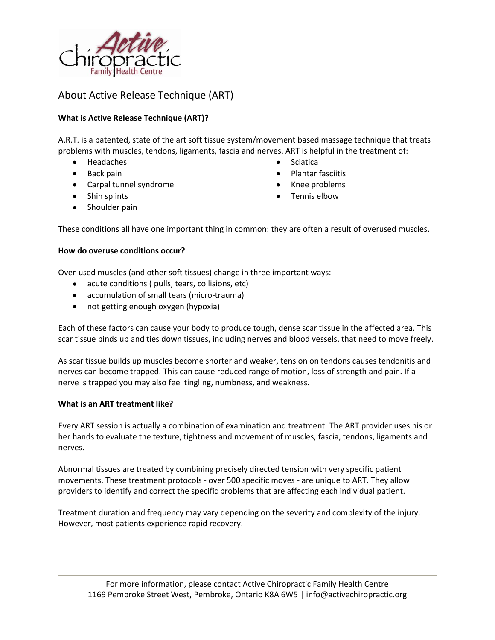

# About Active Release Technique (ART)

## **What is Active Release Technique (ART)?**

A.R.T. is a patented, state of the art soft tissue system/movement based massage technique that treats problems with muscles, tendons, ligaments, fascia and nerves. ART is helpful in the treatment of:

- Headaches
- Back pain
- Carpal tunnel syndrome
- Shin splints
- $\bullet$ Shoulder pain
- Sciatica
- Plantar fasciitis
- Knee problems
- Tennis elbow

These conditions all have one important thing in common: they are often a result of overused muscles.

#### **How do overuse conditions occur?**

Over-used muscles (and other soft tissues) change in three important ways:

- acute conditions ( pulls, tears, collisions, etc)
- accumulation of small tears (micro-trauma)
- not getting enough oxygen (hypoxia)

Each of these factors can cause your body to produce tough, dense scar tissue in the affected area. This scar tissue binds up and ties down tissues, including nerves and blood vessels, that need to move freely.

As scar tissue builds up muscles become shorter and weaker, tension on tendons causes tendonitis and nerves can become trapped. This can cause reduced range of motion, loss of strength and pain. If a nerve is trapped you may also feel tingling, numbness, and weakness.

#### **What is an ART treatment like?**

Every ART session is actually a combination of examination and treatment. The ART provider uses his or her hands to evaluate the texture, tightness and movement of muscles, fascia, tendons, ligaments and nerves.

Abnormal tissues are treated by combining precisely directed tension with very specific patient movements. These treatment protocols - over 500 specific moves - are unique to ART. They allow providers to identify and correct the specific problems that are affecting each individual patient.

Treatment duration and frequency may vary depending on the severity and complexity of the injury. However, most patients experience rapid recovery.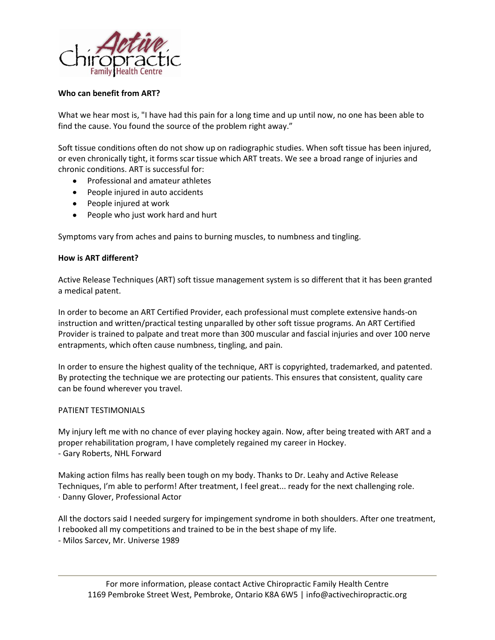

### **Who can benefit from ART?**

What we hear most is, "I have had this pain for a long time and up until now, no one has been able to find the cause. You found the source of the problem right away."

Soft tissue conditions often do not show up on radiographic studies. When soft tissue has been injured, or even chronically tight, it forms scar tissue which ART treats. We see a broad range of injuries and chronic conditions. ART is successful for:

- Professional and amateur athletes
- People injured in auto accidents
- People injured at work
- People who just work hard and hurt

Symptoms vary from aches and pains to burning muscles, to numbness and tingling.

### **How is ART different?**

Active Release Techniques (ART) soft tissue management system is so different that it has been granted a medical patent.

In order to become an ART Certified Provider, each professional must complete extensive hands-on instruction and written/practical testing unparalled by other soft tissue programs. An ART Certified Provider is trained to palpate and treat more than 300 muscular and fascial injuries and over 100 nerve entrapments, which often cause numbness, tingling, and pain.

In order to ensure the highest quality of the technique, ART is copyrighted, trademarked, and patented. By protecting the technique we are protecting our patients. This ensures that consistent, quality care can be found wherever you travel.

### PATIENT TESTIMONIALS

My injury left me with no chance of ever playing hockey again. Now, after being treated with ART and a proper rehabilitation program, I have completely regained my career in Hockey. - Gary Roberts, NHL Forward

Making action films has really been tough on my body. Thanks to Dr. Leahy and Active Release Techniques, I'm able to perform! After treatment, I feel great... ready for the next challenging role. · Danny Glover, Professional Actor

All the doctors said I needed surgery for impingement syndrome in both shoulders. After one treatment, I rebooked all my competitions and trained to be in the best shape of my life.

- Milos Sarcev, Mr. Universe 1989